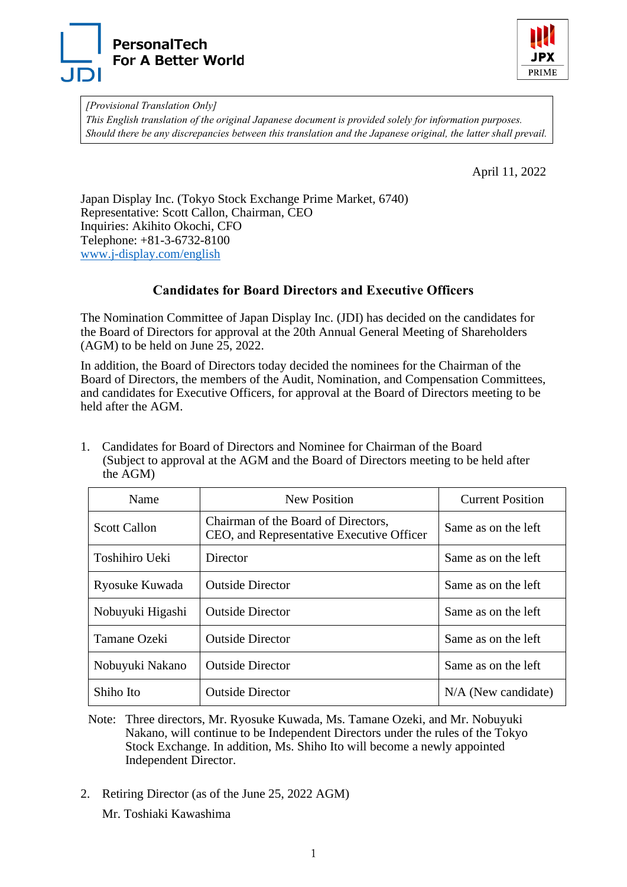



*[Provisional Translation Only] This English translation of the original Japanese document is provided solely for information purposes. Should there be any discrepancies between this translation and the Japanese original, the latter shall prevail.*

April 11, 2022

Japan Display Inc. (Tokyo Stock Exchange Prime Market, 6740) Representative: Scott Callon, Chairman, CEO Inquiries: Akihito Okochi, CFO Telephone: +81-3-6732-8100 [www.j-display.com/english](https://www.j-display.com/english/)

## **Candidates for Board Directors and Executive Officers**

The Nomination Committee of Japan Display Inc. (JDI) has decided on the candidates for the Board of Directors for approval at the 20th Annual General Meeting of Shareholders (AGM) to be held on June 25, 2022.

In addition, the Board of Directors today decided the nominees for the Chairman of the Board of Directors, the members of the Audit, Nomination, and Compensation Committees, and candidates for Executive Officers, for approval at the Board of Directors meeting to be held after the AGM.

1. Candidates for Board of Directors and Nominee for Chairman of the Board (Subject to approval at the AGM and the Board of Directors meeting to be held after the AGM)

| Name                | New Position                                                                     | <b>Current Position</b> |
|---------------------|----------------------------------------------------------------------------------|-------------------------|
| <b>Scott Callon</b> | Chairman of the Board of Directors,<br>CEO, and Representative Executive Officer | Same as on the left     |
| Toshihiro Ueki      | Director                                                                         | Same as on the left     |
| Ryosuke Kuwada      | <b>Outside Director</b>                                                          | Same as on the left     |
| Nobuyuki Higashi    | <b>Outside Director</b>                                                          | Same as on the left     |
| Tamane Ozeki        | <b>Outside Director</b>                                                          | Same as on the left     |
| Nobuyuki Nakano     | <b>Outside Director</b>                                                          | Same as on the left     |
| Shiho Ito           | <b>Outside Director</b>                                                          | $N/A$ (New candidate)   |

- Note: Three directors, Mr. Ryosuke Kuwada, Ms. Tamane Ozeki, and Mr. Nobuyuki Nakano, will continue to be Independent Directors under the rules of the Tokyo Stock Exchange. In addition, Ms. Shiho Ito will become a newly appointed Independent Director.
- 2. Retiring Director (as of the June 25, 2022 AGM)

Mr. Toshiaki Kawashima